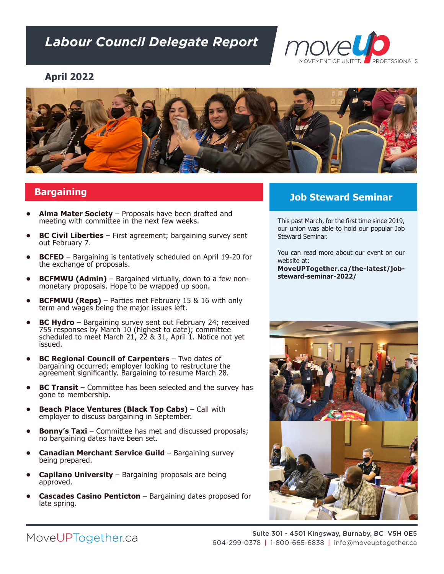# *Labour Council Delegate Report*



#### **April 2022**



### **Bargaining**

- **• Alma Mater Society** Proposals have been drafted and meeting with committee in the next few weeks.
- **• BC Civil Liberties** First agreement; bargaining survey sent out February 7.
- **• BCFED** Bargaining is tentatively scheduled on April 19-20 for the exchange of proposals.
- **• BCFMWU (Admin)** Bargained virtually, down to a few nonmonetary proposals. Hope to be wrapped up soon.
- **• BCFMWU (Reps)** Parties met February 15 & 16 with only term and wages being the major issues left.
- **• BC Hydro** Bargaining survey sent out February 24; received 755 responses by March 10 (highest to date); committee scheduled to meet March 21,  $2\overline{2}$  & 31, April 1. Notice not yet issued.
- **BC Regional Council of Carpenters** Two dates of bargaining occurred; employer looking to restructure the agreement significantly. Bargaining to resume March 28.
- **BC Transit** Committee has been selected and the survey has gone to membership.
- **• Beach Place Ventures (Black Top Cabs)**  Call with employer to discuss bargaining in September.
- **Bonny's Taxi** Committee has met and discussed proposals; no bargaining dates have been set.
- **• Canadian Merchant Service Guild**  Bargaining survey being prepared.
- **• Capilano University**  Bargaining proposals are being approved.
- **• Cascades Casino Penticton**  Bargaining dates proposed for late spring.

## **Job Steward Seminar**

This past March, for the first time since 2019, our union was able to hold our popular Job Steward Seminar.

You can read more about our event on our website at:

**MoveUPTogether.ca/the-latest/jobsteward-seminar-2022/**